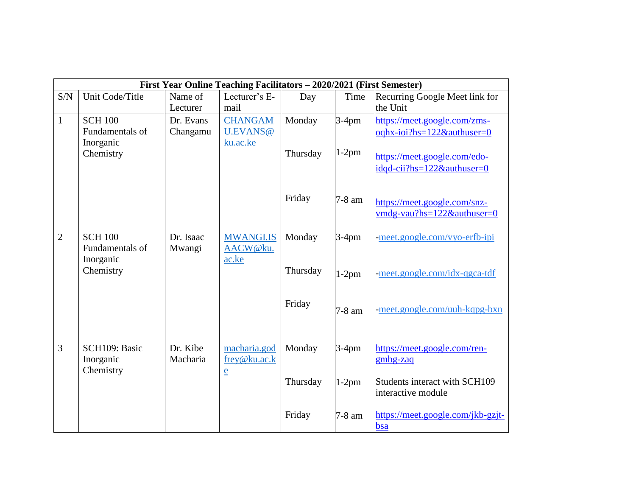|                | First Year Online Teaching Facilitators - 2020/2021 (First Semester) |           |                              |          |          |                                          |
|----------------|----------------------------------------------------------------------|-----------|------------------------------|----------|----------|------------------------------------------|
| S/N            | Unit Code/Title                                                      | Name of   | Lecturer's E-                | Day      | Time     | Recurring Google Meet link for           |
|                |                                                                      | Lecturer  | mail                         |          |          | the Unit                                 |
| $\mathbf{1}$   | <b>SCH 100</b>                                                       | Dr. Evans | <b>CHANGAM</b>               | Monday   | $3-4$ pm | https://meet.google.com/zms-             |
|                | Fundamentals of                                                      | Changamu  | U.EVANS@                     |          |          | oqhx-ioi?hs=122&authuser=0               |
|                | Inorganic                                                            |           | ku.ac.ke                     |          |          |                                          |
|                | Chemistry                                                            |           |                              | Thursday | $1-2$ pm | https://meet.google.com/edo-             |
|                |                                                                      |           |                              |          |          | idgd-cii?hs=122&authuser=0               |
|                |                                                                      |           |                              |          |          |                                          |
|                |                                                                      |           |                              | Friday   |          |                                          |
|                |                                                                      |           |                              |          | 7-8 am   | https://meet.google.com/snz-             |
|                |                                                                      |           |                              |          |          | vmdg-vau?hs=122&authuser=0               |
|                |                                                                      |           |                              |          |          |                                          |
| $\overline{2}$ | <b>SCH 100</b>                                                       | Dr. Isaac | <b>MWANGI.IS</b>             | Monday   | $3-4$ pm | -meet.google.com/vyo-erfb-ipi            |
|                | Fundamentals of<br>Inorganic                                         | Mwangi    | AACW@ku.<br>ac.ke            |          |          |                                          |
|                | Chemistry                                                            |           |                              | Thursday |          |                                          |
|                |                                                                      |           |                              |          | $1-2$ pm | -meet.google.com/idx-qgca-tdf            |
|                |                                                                      |           |                              |          |          |                                          |
|                |                                                                      |           |                              | Friday   |          | -meet.google.com/uuh-kqpg-bxn            |
|                |                                                                      |           |                              |          | 7-8 am   |                                          |
|                |                                                                      |           |                              |          |          |                                          |
| 3              |                                                                      | Dr. Kibe  |                              |          |          |                                          |
|                | SCH109: Basic<br>Inorganic                                           | Macharia  | macharia.god<br>frey@ku.ac.k | Monday   | $3-4$ pm | https://meet.google.com/ren-<br>gmbg-zaq |
|                | Chemistry                                                            |           |                              |          |          |                                          |
|                |                                                                      |           | $\underline{e}$              | Thursday | $1-2pm$  | Students interact with SCH109            |
|                |                                                                      |           |                              |          |          | interactive module                       |
|                |                                                                      |           |                              |          |          |                                          |
|                |                                                                      |           |                              | Friday   | 7-8 am   | https://meet.google.com/jkb-gzjt-        |
|                |                                                                      |           |                              |          |          | bsa                                      |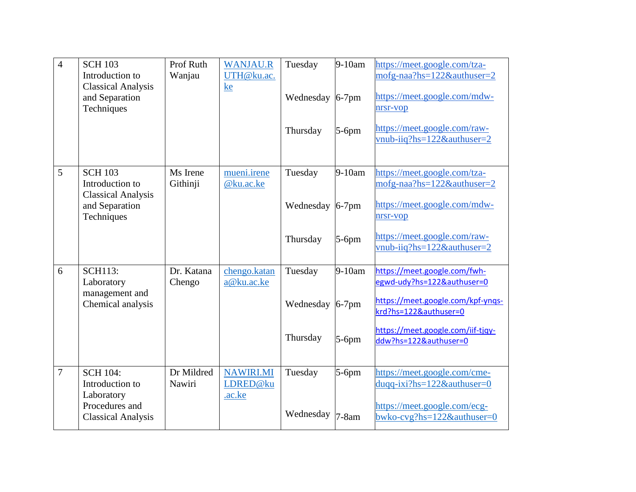| $\overline{4}$ | <b>SCH 103</b><br>Introduction to<br><b>Classical Analysis</b><br>and Separation<br>Techniques  | Prof Ruth<br>Wanjau  | <b>WANJAU.R</b><br>UTH@ku.ac.<br>ke    | Tuesday<br>Wednesday<br>Thursday | 9-10am<br>$6-7$ pm<br>$5-6$ pm | https://meet.google.com/tza-<br>mofg-naa?hs=122&authuser=2<br>https://meet.google.com/mdw-<br>nrsr-vop<br>https://meet.google.com/raw-<br>$v$ <sub>nub-iiq</sub> ?hs=122&authuser=2    |
|----------------|-------------------------------------------------------------------------------------------------|----------------------|----------------------------------------|----------------------------------|--------------------------------|----------------------------------------------------------------------------------------------------------------------------------------------------------------------------------------|
| 5              | <b>SCH 103</b><br>Introduction to<br><b>Classical Analysis</b><br>and Separation<br>Techniques  | Ms Irene<br>Githinji | mueni.irene<br>@ku.ac.ke               | Tuesday<br>Wednesday<br>Thursday | 9-10am<br>$6-7$ pm<br>$5-6$ pm | https://meet.google.com/tza-<br>mofg-naa?hs=122&authuser=2<br>https://meet.google.com/mdw-<br>nrsr-vop<br>https://meet.google.com/raw-<br>vnub-iiq?hs=122&authuser=2                   |
| 6              | <b>SCH113:</b><br>Laboratory<br>management and<br>Chemical analysis                             | Dr. Katana<br>Chengo | chengo.katan<br>a@ku.ac.ke             | Tuesday<br>Wednesday<br>Thursday | 9-10am<br>$6-7$ pm<br>$5-6$ pm | https://meet.google.com/fwh-<br>egwd-udy?hs=122&authuser=0<br>https://meet.google.com/kpf-yngs-<br>krd?hs=122&authuser=0<br>https://meet.google.com/iif-tjqy-<br>ddw?hs=122&authuser=0 |
| $\overline{7}$ | <b>SCH 104:</b><br>Introduction to<br>Laboratory<br>Procedures and<br><b>Classical Analysis</b> | Dr Mildred<br>Nawiri | <b>NAWIRI.MI</b><br>LDRED@ku<br>.ac.ke | Tuesday<br>Wednesday             | 5-6pm<br>$7-8am$               | https://meet.google.com/cme-<br>duqq-ixi?hs=122&authuser=0<br>https://meet.google.com/ecg-<br>bwko-cvg?hs=122&authuser=0                                                               |